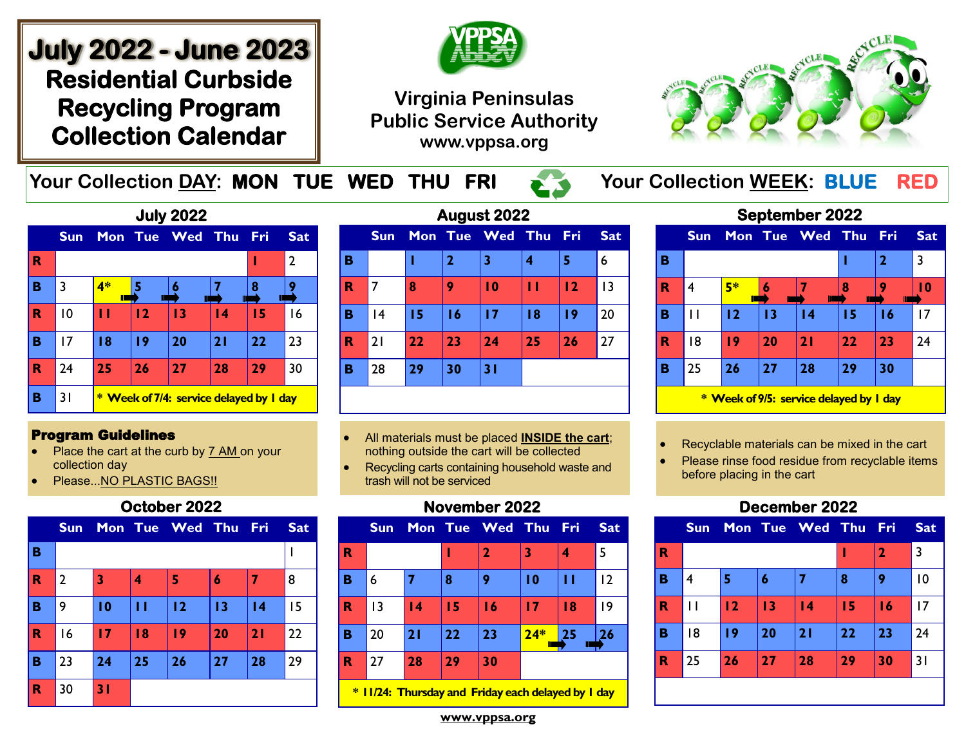# **July 2022 - June 2023 Residential Curbside Recycling Program Collection Calendar**



# **Virginia Peninsulas Public Service Authority www.vppsa.org**



Your Collection DAY: MON TUE WED THU FRI **Your Collection WEEK: BLUE RED** 

|   |                |    |             | <b>July 2022</b>                        |                 |     |                |
|---|----------------|----|-------------|-----------------------------------------|-----------------|-----|----------------|
|   | <b>Sun</b>     |    | Mon Tue Wed |                                         | Thu             | Fri | <b>Sat</b>     |
| R |                |    |             |                                         |                 |     | $\overline{2}$ |
| в | 3              | 4* |             | 6                                       |                 | 8   |                |
| R | $\overline{0}$ | п  | 12          | 13                                      | $\overline{14}$ | 15  | 16             |
| в | 17             | 18 | 19          | 20                                      | 21              | 22  | 23             |
| R | 24             | 25 | 26          | 27                                      | 28              | 29  | 30             |
| в | 31             |    |             | * Week of 7/4: service delayed by I day |                 |     |                |

#### Program Guidelines

- Place the cart at the curb by 7 AM on your collection day
- Please...NO PLASTIC BAGS!!

#### **October 2022**

|             | <b>Sun</b>     |    |    | Mon Tue Wed Thu Fri |    |                 | <b>Sat</b> |
|-------------|----------------|----|----|---------------------|----|-----------------|------------|
| B           |                |    |    |                     |    |                 |            |
| $\mathbf R$ | $\overline{2}$ | 3  | 4  | 5                   | 6  |                 | 8          |
| в           | 9              | 10 | П  | 12                  | 13 | $\overline{14}$ | 15         |
| $\mathbf R$ | 16             | 17 | 18 | 19                  | 20 | 21              | 22         |
| в           | 23             | 24 | 25 | 26                  | 27 | 28              | 29         |
| $\mathbf R$ | 30             | 31 |    |                     |    |                 |            |

| August 2022 |                 |    |             |                 |    |       |            |
|-------------|-----------------|----|-------------|-----------------|----|-------|------------|
|             | <b>Sun</b>      |    |             | Mon Tue Wed Thu |    | - Fri | <b>Sat</b> |
| в           |                 |    | $\mathbf 2$ | 3               | 4  | 5     | 6          |
| R           | 7               | 8  | 9           | $\overline{10}$ | п  | 12    | 13         |
| в           | $\overline{14}$ | 15 | 16          | 17              | 18 | 19    | 20         |
| R           | 21              | 22 | 23          | 24              | 25 | 26    | 27         |
| В           | 28              | 29 | 30          | 31              |    |       |            |
|             |                 |    |             |                 |    |       |            |

- All materials must be placed **INSIDE the cart**; nothing outside the cart will be collected
- Recycling carts containing household waste and trash will not be serviced

## **November 2022**

|             | <b>Sun</b> |                 |    | Mon Tue Wed Thu Fri |       |    | <b>Sat</b> |
|-------------|------------|-----------------|----|---------------------|-------|----|------------|
| R           |            |                 |    | 2                   | 3     |    | 5          |
| B           | 6          |                 | 8  | 9                   | 10    | п  | 12         |
| R           | 3          | $\overline{14}$ | 15 | 16                  | 17    | 18 | 9          |
| B           | 20         | 21              | 22 | 23                  | $24*$ | 25 | 26         |
| $\mathbf R$ | 27         | 28              | 29 | 30                  |       |    |            |
|             |            |                 |    |                     |       |    |            |

**\* 11/24: Thursday and Friday each delayed by 1 day**

|                                         | <b>Sun</b> |         |    | Mon Tue Wed Thu |    | Fri          | <b>Sat</b> |
|-----------------------------------------|------------|---------|----|-----------------|----|--------------|------------|
| в                                       |            |         |    |                 |    | $\mathbf{2}$ | 3          |
| R                                       | 4          | 5*<br>П | Ш  | Ш               | 8  | Ш            | l 0        |
| B                                       | Ħ          | 12      | 13 | 14              | 15 | 16           | 17         |
| R                                       | 18         | 19      | 20 | 21              | 22 | 23           | 24         |
| в                                       | 25         | 26      | 27 | 28              | 29 | 30           |            |
| * Week of 9/5: service delayed by I day |            |         |    |                 |    |              |            |

**September 2022** 

- Recyclable materials can be mixed in the cart
- Please rinse food residue from recyclable items before placing in the cart

## **December 2022**

|                         | <b>Sun</b> |    |    | Mon Tue Wed Thu Fri |    |              | <b>Sat</b> |
|-------------------------|------------|----|----|---------------------|----|--------------|------------|
| $\overline{\mathbf{R}}$ |            |    |    |                     | ı  | $\mathbf{2}$ | 3          |
| B                       | 4          | 5  | 6  | 7                   | 8  | 9            | 10         |
| R                       | П          | 12 | 13 | $\overline{14}$     | 15 | 16           | 17         |
| B                       | 18         | 19 | 20 | 21                  | 22 | 23           | 24         |
| $\mathbf R$             | 25         | 26 | 27 | 28                  | 29 | 30           | 31         |
|                         |            |    |    |                     |    |              |            |

**www.vppsa.org**